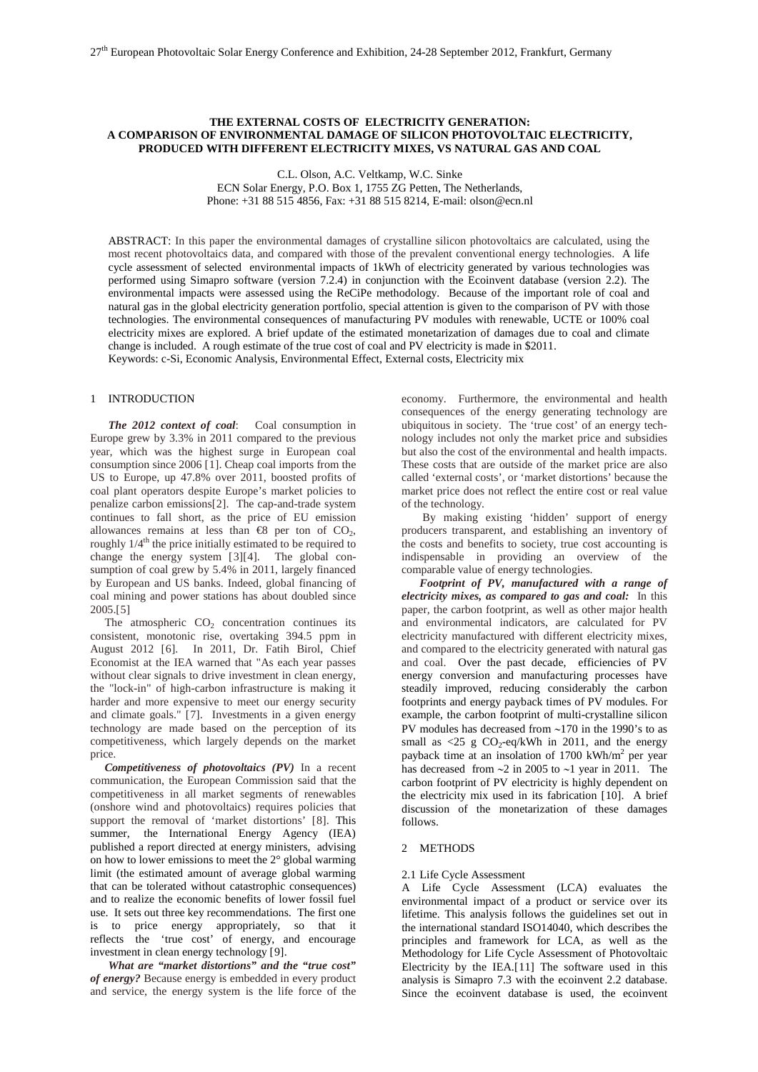# **THE EXTERNAL COSTS OF ELECTRICITY GENERATION: A COMPARISON OF ENVIRONMENTAL DAMAGE OF SILICON PHOTOVOLTAIC ELECTRICITY, PRODUCED WITH DIFFERENT ELECTRICITY MIXES, VS NATURAL GAS AND COAL**

C.L. Olson, A.C. Veltkamp, W.C. Sinke

ECN Solar Energy, P.O. Box 1, 1755 ZG Petten, The Netherlands, Phone: +31 88 515 4856, Fax: +31 88 515 8214, E-mail: olson@ecn.nl

ABSTRACT: In this paper the environmental damages of crystalline silicon photovoltaics are calculated, using the most recent photovoltaics data, and compared with those of the prevalent conventional energy technologies.A life cycle assessment of selected environmental impacts of 1kWh of electricity generated by various technologies was performed using Simapro software (version 7.2.4) in conjunction with the Ecoinvent database (version 2.2). The environmental impacts were assessed using the ReCiPe methodology. Because of the important role of coal and natural gas in the global electricity generation portfolio, special attention is given to the comparison of PV with those technologies. The environmental consequences of manufacturing PV modules with renewable, UCTE or 100% coal electricity mixes are explored. A brief update of the estimated monetarization of damages due to coal and climate change is included. A rough estimate of the true cost of coal and PV electricity is made in \$2011. Keywords: c-Si, Economic Analysis, Environmental Effect, External costs, Electricity mix

# 1 INTRODUCTION

*The 2012 context of coal*: Coal consumption in Europe grew by 3.3% in 2011 compared to the previous year, which was the highest surge in European coal consumption since 2006 [[1\]](#page-4-0). Cheap coal imports from the US to Europe, up 47.8% over 2011, boosted profits of coal plant operators despite Europe's market policies to penalize carbon emissions[[2\]](#page-4-1). The cap-and-trade system continues to fall short, as the price of EU emission allowances remains at less than  $\bigoplus$  per ton of CO<sub>2</sub>, roughly  $1/4<sup>th</sup>$  the price initially estimated to be required to change the energy system [[3](#page-4-2)][[4](#page-4-3)]. The global consumption of coal grew by 5.4% in 2011, largely financed by European and US banks. Indeed, global financing of coal mining and power stations has about doubled since 2005.[[5](#page-4-4)]

The atmospheric  $CO<sub>2</sub>$  concentration continues its consistent, monotonic rise, overtaking 394.5 ppm in August 2012 [[6\]](#page-4-5). In 2011, Dr. Fatih Birol, Chief Economist at the IEA warned that "As each year passes without clear signals to drive investment in clean energy, the "lock-in" of high-carbon infrastructure is making it harder and more expensive to meet our energy security and climate goals." [[7](#page-4-6)]. Investments in a given energy technology are made based on the perception of its competitiveness, which largely depends on the market price.

 *Competitiveness of photovoltaics (PV)* In a recent communication, the European Commission said that the competitiveness in all market segments of renewables (onshore wind and photovoltaics) requires policies that support the removal of 'market distortions' [[8](#page-4-7)]. This summer, the International Energy Agency (IEA) published a report directed at energy ministers, advising on how to lower emissions to meet the 2° global warming limit (the estimated amount of average global warming that can be tolerated without catastrophic consequences) and to realize the economic benefits of lower fossil fuel use. It sets out three key recommendations. The first one is to price energy appropriately, so that it reflects the 'true cost' of energy, and encourage investment in clean energy technology [[9](#page-4-8)].

*What are "market distortions" and the "true cost" of energy?* Because energy is embedded in every product and service, the energy system is the life force of the

economy. Furthermore, the environmental and health consequences of the energy generating technology are ubiquitous in society. The 'true cost' of an energy technology includes not only the market price and subsidies but also the cost of the environmental and health impacts. These costs that are outside of the market price are also called 'external costs', or 'market distortions' because the market price does not reflect the entire cost or real value of the technology.

By making existing 'hidden' support of energy producers transparent, and establishing an inventory of the costs and benefits to society, true cost accounting is<br>indispensable in providing an overview of the indispensable in providing an overview of comparable value of energy technologies.

*Footprint of PV, manufactured with a range of electricity mixes, as compared to gas and coal:* In this paper, the carbon footprint, as well as other major health and environmental indicators, are calculated for PV electricity manufactured with different electricity mixes, and compared to the electricity generated with natural gas and coal. Over the past decade, efficiencies of PV energy conversion and manufacturing processes have steadily improved, reducing considerably the carbon footprints and energy payback times of PV modules. For example, the carbon footprint of multi-crystalline silicon PV modules has decreased from ∼170 in the 1990's to as small as  $\langle 25 \text{ g } CO_2$ -eq/kWh in 2011, and the energy payback time at an insolation of 1700 kWh/m2 per year has decreased from ∼2 in 2005 to ∼1 year in 2011. The carbon footprint of PV electricity is highly dependent on the electricity mix used in its fabrication [[10](#page-4-9)]. A brief discussion of the monetarization of these damages follows.

# 2 METHODS

#### 2.1 Life Cycle Assessment

<span id="page-0-0"></span>A Life Cycle Assessment (LCA) evaluates the environmental impact of a product or service over its lifetime. This analysis follows the guidelines set out in the international standard ISO14040, which describes the principles and framework for LCA, as well as the Methodology for Life Cycle Assessment of Photovoltaic Electricity by the IEA.[[11\]](#page-4-10) The software used in this analysis is Simapro 7.3 with the ecoinvent 2.2 database. Since the ecoinvent database is used, the ecoinvent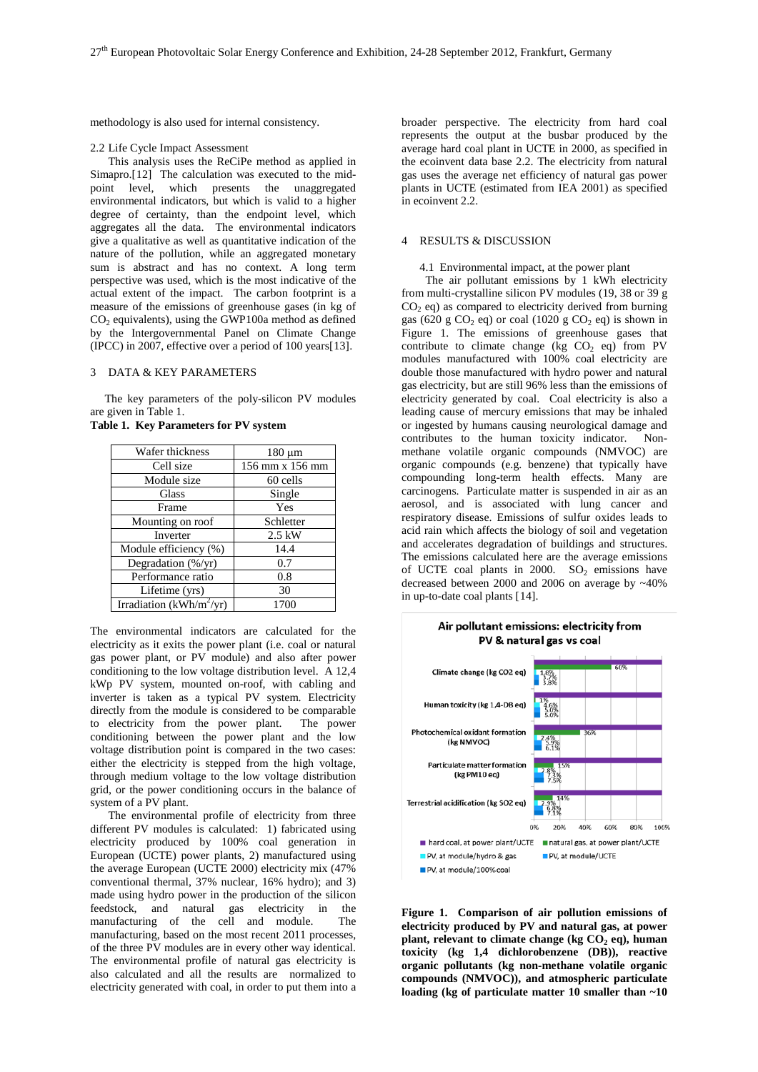methodology is also used for internal consistency.

#### 2.2 Life Cycle Impact Assessment

This analysis uses the ReCiPe method as applied in Simapro.[[12](#page-4-11)] The calculation was executed to the midpoint level, which presents the unaggregated environmental indicators, but which is valid to a higher degree of certainty, than the endpoint level, which aggregates all the data. The environmental indicators give a qualitative as well as quantitative indication of the nature of the pollution, while an aggregated monetary sum is abstract and has no context. A long term perspective was used, which is the most indicative of the actual extent of the impact. The carbon footprint is a measure of the emissions of greenhouse gases (in kg of  $CO<sub>2</sub>$  equivalents), using the GWP100a method as defined by the Intergovernmental Panel on Climate Change (IPCC) in 2007, effective over a period of 100 years[[13\]](#page-4-12).

### 3 DATA & KEY PARAMETERS

 The key parameters of the poly-silicon PV modules are given i[n Table 1.](#page-1-0)

<span id="page-1-0"></span>

|  |  | <b>Table 1. Key Parameters for PV system</b> |  |  |
|--|--|----------------------------------------------|--|--|
|--|--|----------------------------------------------|--|--|

| Wafer thickness                      | $180 \mu m$     |  |
|--------------------------------------|-----------------|--|
| Cell size                            | 156 mm x 156 mm |  |
| Module size                          | 60 cells        |  |
| Glass                                | Single          |  |
| Frame                                | Yes             |  |
| Mounting on roof                     | Schletter       |  |
| Inverter                             | $2.5$ kW        |  |
| Module efficiency (%)                | 14.4            |  |
| Degradation (%/yr)                   | 0.7             |  |
| Performance ratio                    | 0.8             |  |
| Lifetime (yrs)                       | 30              |  |
| Irradiation (kWh/m <sup>2</sup> /yr) | 1700            |  |

The environmental indicators are calculated for the electricity as it exits the power plant (i.e. coal or natural gas power plant, or PV module) and also after power conditioning to the low voltage distribution level. A 12,4 kWp PV system, mounted on-roof, with cabling and inverter is taken as a typical PV system. Electricity directly from the module is considered to be comparable to electricity from the power plant. The power conditioning between the power plant and the low voltage distribution point is compared in the two cases: either the electricity is stepped from the high voltage, through medium voltage to the low voltage distribution grid, or the power conditioning occurs in the balance of system of a PV plant.

The environmental profile of electricity from three different PV modules is calculated: 1) fabricated using electricity produced by 100% coal generation in European (UCTE) power plants, 2) manufactured using the average European (UCTE 2000) electricity mix (47% conventional thermal, 37% nuclear, 16% hydro); and 3) made using hydro power in the production of the silicon feedstock, and natural gas electricity in the manufacturing of the cell and module. The manufacturing, based on the most recent 2011 processes, of the three PV modules are in every other way identical. The environmental profile of natural gas electricity is also calculated and all the results are normalized to electricity generated with coal, in order to put them into a

broader perspective. The electricity from hard coal represents the output at the busbar produced by the average hard coal plant in UCTE in 2000, as specified in the ecoinvent data base 2.2. The electricity from natural gas uses the average net efficiency of natural gas power plants in UCTE (estimated from IEA 2001) as specified in ecoinvent 2.2.

#### 4 RESULTS & DISCUSSION

#### 4.1 Environmental impact, at the power plant

 The air pollutant emissions by 1 kWh electricity from multi-crystalline silicon PV modules (19, 38 or 39 g  $CO<sub>2</sub>$  eq) as compared to electricity derived from burning gas (620 g CO<sub>2</sub> eq) or coal (1020 g CO<sub>2</sub> eq) is shown in Figure 1. The emissions of greenhouse gases that contribute to climate change (kg  $CO<sub>2</sub>$  eq) from PV modules manufactured with 100% coal electricity are double those manufactured with hydro power and natural gas electricity, but are still 96% less than the emissions of electricity generated by coal. Coal electricity is also a leading cause of mercury emissions that may be inhaled or ingested by humans causing neurological damage and contributes to the human toxicity indicator. Nonmethane volatile organic compounds (NMVOC) are organic compounds (e.g. benzene) that typically have compounding long-term health effects. Many are carcinogens. Particulate matter is suspended in air as an aerosol, and is associated with lung cancer and respiratory disease. Emissions of sulfur oxides leads to acid rain which affects the biology of soil and vegetation and accelerates degradation of buildings and structures. The emissions calculated here are the average emissions of UCTE coal plants in 2000.  $SO_2$  emissions have decreased between 2000 and 2006 on average by ~40% in up-to-date coal plants [[14\]](#page-4-13).





**Figure 1. Comparison of air pollution emissions of electricity produced by PV and natural gas, at power plant, relevant to climate change (kg CO<sub>2</sub> eq), human toxicity (kg 1,4 dichlorobenzene (DB)), reactive organic pollutants (kg non-methane volatile organic compounds (NMVOC)), and atmospheric particulate loading (kg of particulate matter 10 smaller than ~10**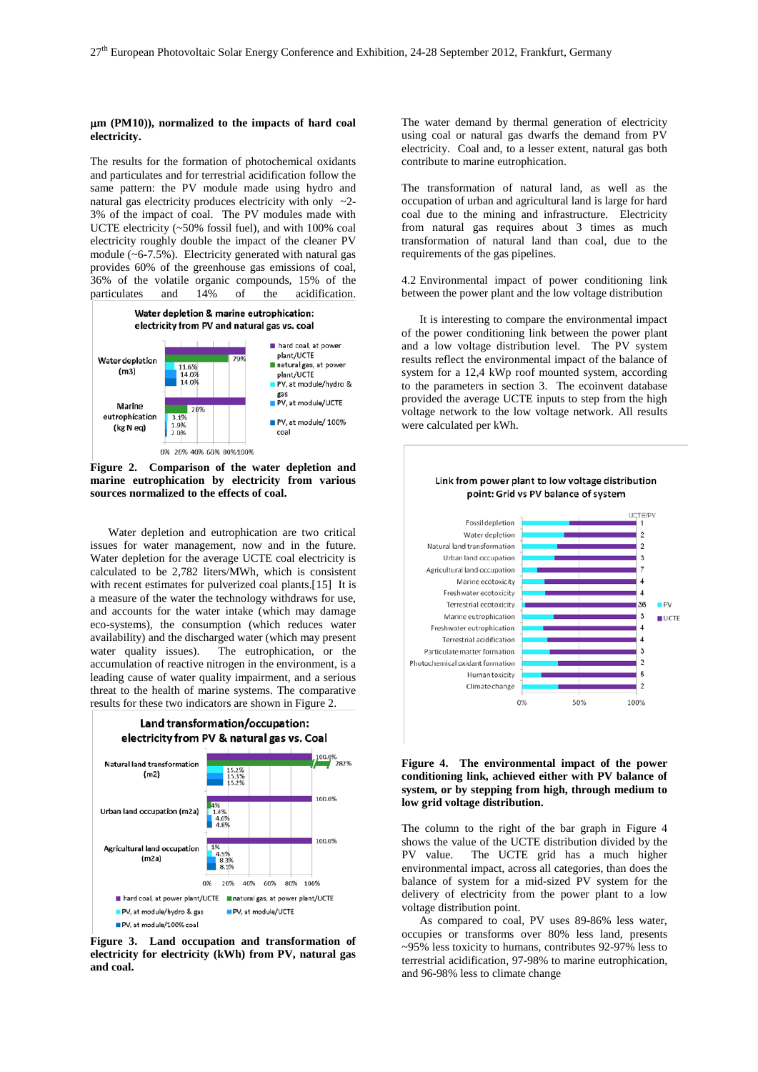#### µ**m (PM10)), normalized to the impacts of hard coal electricity.**

The results for the formation of photochemical oxidants and particulates and for terrestrial acidification follow the same pattern: the PV module made using hydro and natural gas electricity produces electricity with only ~2- 3% of the impact of coal. The PV modules made with UCTE electricity (~50% fossil fuel), and with 100% coal electricity roughly double the impact of the cleaner PV module (~6-7.5%). Electricity generated with natural gas provides 60% of the greenhouse gas emissions of coal, 36% of the volatile organic compounds, 15% of the particulates and 14% of the acidification.



<span id="page-2-0"></span>**Figure 2. Comparison of the water depletion and marine eutrophication by electricity from various sources normalized to the effects of coal.**

Water depletion and eutrophication are two critical issues for water management, now and in the future. Water depletion for the average UCTE coal electricity is calculated to be 2,782 liters/MWh, which is consistent with recent estimates for pulverized coal plants.[[15\]](#page-4-14) It is a measure of the water the technology withdraws for use, and accounts for the water intake (which may damage eco-systems), the consumption (which reduces water availability) and the discharged water (which may present The eutrophication, or the accumulation of reactive nitrogen in the environment, is a leading cause of water quality impairment, and a serious threat to the health of marine systems. The comparative results for these two indicators are shown in [Figure 2.](#page-2-0)



**Figure 3. Land occupation and transformation of electricity for electricity (kWh) from PV, natural gas and coal.**

The water demand by thermal generation of electricity using coal or natural gas dwarfs the demand from PV electricity. Coal and, to a lesser extent, natural gas both contribute to marine eutrophication.

The transformation of natural land, as well as the occupation of urban and agricultural land is large for hard coal due to the mining and infrastructure. Electricity from natural gas requires about 3 times as much transformation of natural land than coal, due to the requirements of the gas pipelines.

4.2 Environmental impact of power conditioning link between the power plant and the low voltage distribution

It is interesting to compare the environmental impact of the power conditioning link between the power plant and a low voltage distribution level. The PV system results reflect the environmental impact of the balance of system for a 12,4 kWp roof mounted system, according to the parameters in section 3. The ecoinvent database provided the average UCTE inputs to step from the high voltage network to the low voltage network. All results were calculated per kWh.

<span id="page-2-2"></span>

### Link from power plant to low voltage distribution point: Grid vs PV balance of system

### <span id="page-2-1"></span>**Figure 4. The environmental impact of the power conditioning link, achieved either with PV balance of system, or by stepping from high, through medium to low grid voltage distribution.**

The column to the right of the bar graph in [Figure 4](#page-2-1) shows the value of the UCTE distribution divided by the PV value. The UCTE grid has a much higher environmental impact, across all categories, than does the balance of system for a mid-sized PV system for the delivery of electricity from the power plant to a low voltage distribution point.

As compared to coal, PV uses 89-86% less water, occupies or transforms over 80% less land, presents ~95% less toxicity to humans, contributes 92-97% less to terrestrial acidification, 97-98% to marine eutrophication, and 96-98% less to climate change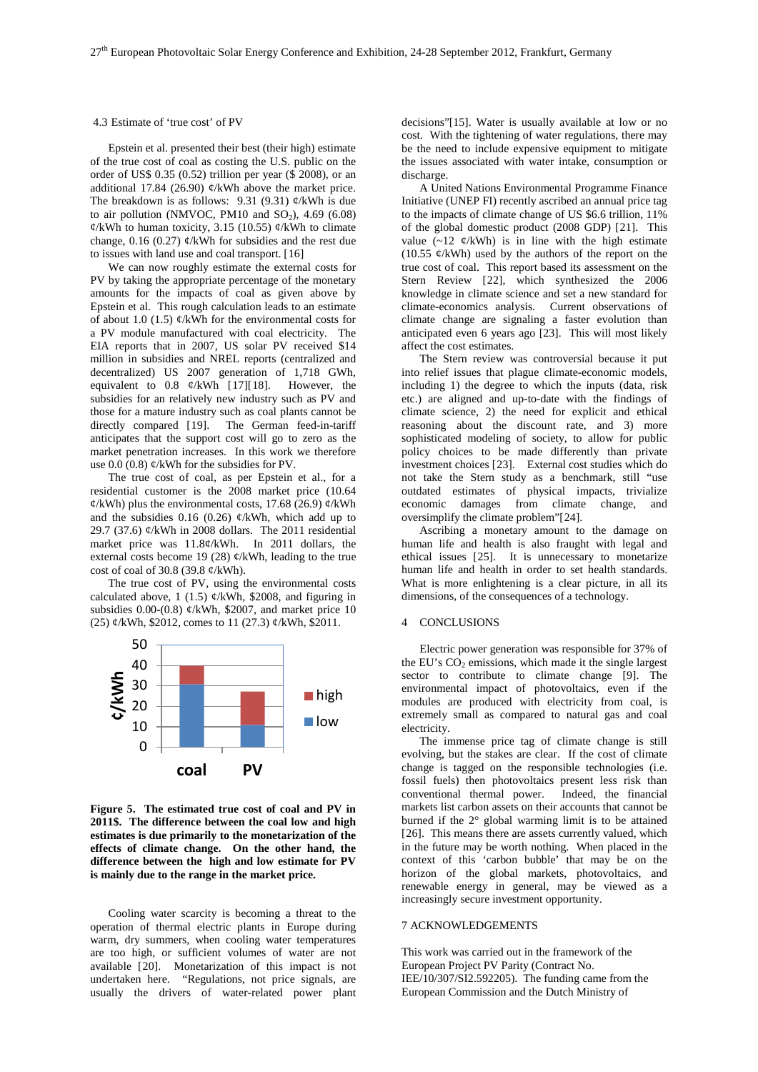#### 4.3 Estimate of 'true cost' of PV

Epstein et al. presented their best (their high) estimate of the true cost of coal as costing the U.S. public on the order of US\$ 0.35 (0.52) trillion per year (\$ 2008), or an additional 17.84 (26.90)  $\varphi$ /kWh above the market price. The breakdown is as follows: 9.31 (9.31)  $\mathcal{C}/kWh$  is due to air pollution (NMVOC, PM10 and  $SO<sub>2</sub>$ ), 4.69 (6.08)  $\frac{\phi}{kWh}$  to human toxicity, 3.15 (10.55)  $\frac{\phi}{kWh}$  to climate change, 0.16 (0.27) ¢/kWh for subsidies and the rest due to issues with land use and coal transport. [[16\]](#page-4-15)

We can now roughly estimate the external costs for PV by taking the appropriate percentage of the monetary amounts for the impacts of coal as given above by Epstein et al. This rough calculation leads to an estimate of about 1.0 (1.5)  $\phi$ /kWh for the environmental costs for a PV module manufactured with coal electricity. The EIA reports that in 2007, US solar PV received \$14 million in subsidies and NREL reports (centralized and decentralized) US 2007 generation of 1,718 GWh, equivalent to 0.8  $\phi$ /kWh [[17\]](#page-4-16)[[18](#page-4-17)]. However, the subsidies for an relatively new industry such as PV and those for a mature industry such as coal plants cannot be directly compared [[19](#page-4-18)]. The German feed-in-tariff anticipates that the support cost will go to zero as the market penetration increases. In this work we therefore use  $0.0$   $(0.8)$   $\phi$ /kWh for the subsidies for PV.

The true cost of coal, as per Epstein et al., for a residential customer is the 2008 market price (10.64  $\varphi$ /kWh) plus the environmental costs, 17.68 (26.9)  $\varphi$ /kWh and the subsidies 0.16 (0.26)  $\phi$ /kWh, which add up to 29.7 (37.6) ¢/kWh in 2008 dollars. The 2011 residential market price was 11.8¢/kWh. In 2011 dollars, the external costs become 19 (28)  $\frac{\phi}{kWh}$ , leading to the true cost of coal of 30.8 (39.8  $\phi$ /kWh).

The true cost of PV, using the environmental costs calculated above, 1 (1.5)  $\phi$ /kWh, \$2008, and figuring in subsidies 0.00-(0.8)  $\varphi$ /kWh, \$2007, and market price 10 (25) ¢/kWh, \$2012, comes to 11 (27.3) ¢/kWh, \$2011.



**Figure 5. The estimated true cost of coal and PV in 2011\$. The difference between the coal low and high estimates is due primarily to the monetarization of the effects of climate change. On the other hand, the difference between the high and low estimate for PV is mainly due to the range in the market price.**

Cooling water scarcity is becoming a threat to the operation of thermal electric plants in Europe during warm, dry summers, when cooling water temperatures are too high, or sufficient volumes of water are not available [[20](#page-4-19)]. Monetarization of this impact is not undertaken here. "Regulations, not price signals, are usually the drivers of water-related power plant

decisions"[\[15\]](#page-2-2). Water is usually available at low or no cost. With the tightening of water regulations, there may be the need to include expensive equipment to mitigate the issues associated with water intake, consumption or discharge.

A United Nations Environmental Programme Finance Initiative (UNEP FI) recently ascribed an annual price tag to the impacts of climate change of US \$6.6 trillion, 11% of the global domestic product (2008 GDP) [[21](#page-4-20)]. This value  $(-12 \, \phi/\text{kWh})$  is in line with the high estimate  $(10.55 \, \phi/\text{kWh})$  used by the authors of the report on the true cost of coal. This report based its assessment on the Stern Review [[22\]](#page-4-21), which synthesized the 2006 knowledge in climate science and set a new standard for climate-economics analysis. Current observations of climate change are signaling a faster evolution than anticipated even 6 years ago [\[23\]](#page-3-0). This will most likely affect the cost estimates.

The Stern review was controversial because it put into relief issues that plague climate-economic models, including 1) the degree to which the inputs (data, risk etc.) are aligned and up-to-date with the findings of climate science, 2) the need for explicit and ethical reasoning about the discount rate, and 3) more sophisticated modeling of society, to allow for public policy choices to be made differently than private investment choices [[23](#page-4-3)]. External cost studies which do not take the Stern study as a benchmark, still "use outdated estimates of physical impacts, trivialize economic damages from climate change, and oversimplify the climate problem"[[24\]](#page-4-22).

<span id="page-3-0"></span>Ascribing a monetary amount to the damage on human life and health is also fraught with legal and ethical issues [[25](#page-4-23)]. It is unnecessary to monetarize human life and health in order to set health standards. What is more enlightening is a clear picture, in all its dimensions, of the consequences of a technology.

### 4 CONCLUSIONS

Electric power generation was responsible for 37% of the EU's  $CO<sub>2</sub>$  emissions, which made it the single largest sector to contribute to climate change [\[9\]](#page-0-0). The environmental impact of photovoltaics, even if the modules are produced with electricity from coal, is extremely small as compared to natural gas and coal electricity.

The immense price tag of climate change is still evolving, but the stakes are clear. If the cost of climate change is tagged on the responsible technologies (i.e. fossil fuels) then photovoltaics present less risk than conventional thermal power. markets list carbon assets on their accounts that cannot be burned if the 2° global warming limit is to be attained [[26](#page-4-24)]. This means there are assets currently valued, which in the future may be worth nothing. When placed in the context of this 'carbon bubble' that may be on the horizon of the global markets, photovoltaics, and renewable energy in general, may be viewed as a increasingly secure investment opportunity.

### 7 ACKNOWLEDGEMENTS

This work was carried out in the framework of the European Project PV Parity (Contract No. IEE/10/307/SI2.592205). The funding came from the European Commission and the Dutch Ministry of